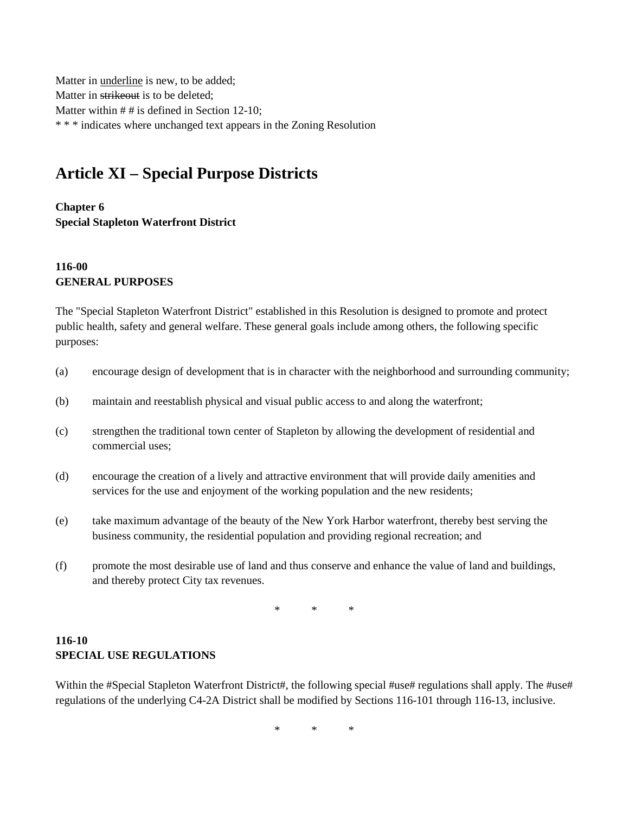Matter in underline is new, to be added; Matter in strikeout is to be deleted; Matter within # # is defined in Section 12-10; \* \* \* indicates where unchanged text appears in the Zoning Resolution

# **Article XI – Special Purpose Districts**

**Chapter 6 Special Stapleton Waterfront District**

#### **116-00 GENERAL PURPOSES**

The "Special Stapleton Waterfront District" established in this Resolution is designed to promote and protect public health, safety and general welfare. These general goals include among others, the following specific purposes:

- (a) encourage design of development that is in character with the neighborhood and surrounding community;
- (b) maintain and reestablish physical and visual public access to and along the waterfront;
- (c) strengthen the traditional town center of Stapleton by allowing the development of residential and commercial uses;
- (d) encourage the creation of a lively and attractive environment that will provide daily amenities and services for the use and enjoyment of the working population and the new residents;
- (e) take maximum advantage of the beauty of the New York Harbor waterfront, thereby best serving the business community, the residential population and providing regional recreation; and
- (f) promote the most desirable use of land and thus conserve and enhance the value of land and buildings, and thereby protect City tax revenues.

\* \* \*

#### **116-10 SPECIAL USE REGULATIONS**

Within the #Special Stapleton Waterfront District#, the following special #use# regulations shall apply. The #use# regulations of the underlying C4-2A District shall be modified by Sections 116-101 through 116-13, inclusive.

\* \* \*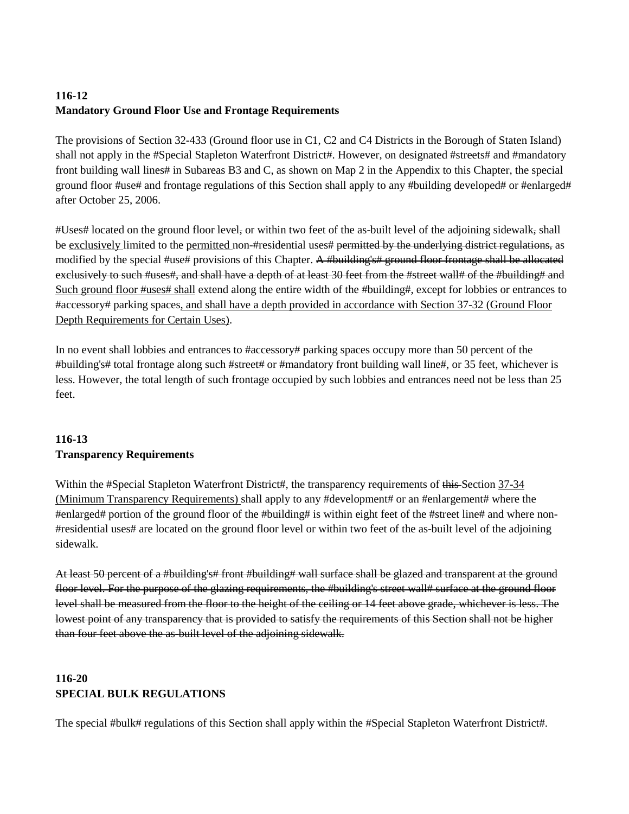## **116-12 Mandatory Ground Floor Use and Frontage Requirements**

The provisions of Section 32-433 (Ground floor use in C1, C2 and C4 Districts in the Borough of Staten Island) shall not apply in the #Special Stapleton Waterfront District#. However, on designated #streets# and #mandatory front building wall lines# in Subareas B3 and C, as shown on Map 2 in the Appendix to this Chapter, the special ground floor #use# and frontage regulations of this Section shall apply to any #building developed# or #enlarged# after October 25, 2006.

#Uses# located on the ground floor level, or within two feet of the as-built level of the adjoining sidewalk, shall be exclusively limited to the permitted non-#residential uses# permitted by the underlying district regulations, as modified by the special #use# provisions of this Chapter. A #building's# ground floor frontage shall be allocated exclusively to such #uses#, and shall have a depth of at least 30 feet from the #street wall# of the #building# and Such ground floor #uses# shall extend along the entire width of the #building#, except for lobbies or entrances to #accessory# parking spaces, and shall have a depth provided in accordance with Section 37-32 (Ground Floor Depth Requirements for Certain Uses).

In no event shall lobbies and entrances to #accessory# parking spaces occupy more than 50 percent of the #building's# total frontage along such #street# or #mandatory front building wall line#, or 35 feet, whichever is less. However, the total length of such frontage occupied by such lobbies and entrances need not be less than 25 feet.

#### **116-13 Transparency Requirements**

Within the #Special Stapleton Waterfront District#, the transparency requirements of this Section 37-34 (Minimum Transparency Requirements) shall apply to any #development# or an #enlargement# where the #enlarged# portion of the ground floor of the #building# is within eight feet of the #street line# and where non- #residential uses# are located on the ground floor level or within two feet of the as-built level of the adjoining sidewalk.

At least 50 percent of a #building's# front #building# wall surface shall be glazed and transparent at the ground floor level. For the purpose of the glazing requirements, the #building's street wall# surface at the ground floor level shall be measured from the floor to the height of the ceiling or 14 feet above grade, whichever is less. The lowest point of any transparency that is provided to satisfy the requirements of this Section shall not be higher than four feet above the as-built level of the adjoining sidewalk.

## **116-20 SPECIAL BULK REGULATIONS**

The special #bulk# regulations of this Section shall apply within the #Special Stapleton Waterfront District#.